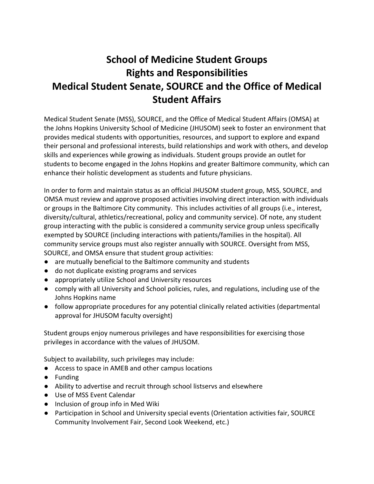## **School of Medicine Student Groups Rights and Responsibilities Medical Student Senate, SOURCE and the Office of Medical Student Affairs**

Medical Student Senate (MSS), SOURCE, and the Office of Medical Student Affairs (OMSA) at the Johns Hopkins University School of Medicine (JHUSOM) seek to foster an environment that provides medical students with opportunities, resources, and support to explore and expand their personal and professional interests, build relationships and work with others, and develop skills and experiences while growing as individuals. Student groups provide an outlet for students to become engaged in the Johns Hopkins and greater Baltimore community, which can enhance their holistic development as students and future physicians.

In order to form and maintain status as an official JHUSOM student group, MSS, SOURCE, and OMSA must review and approve proposed activities involving direct interaction with individuals or groups in the Baltimore City community. This includes activities of all groups (i.e., interest, diversity/cultural, athletics/recreational, policy and community service). Of note, any student group interacting with the public is considered a community service group unless specifically exempted by SOURCE (including interactions with patients/families in the hospital). All community service groups must also register annually with SOURCE. Oversight from MSS, SOURCE, and OMSA ensure that student group activities:

- are mutually beneficial to the Baltimore community and students
- do not duplicate existing programs and services
- appropriately utilize School and University resources
- comply with all University and School policies, rules, and regulations, including use of the Johns Hopkins name
- follow appropriate procedures for any potential clinically related activities (departmental approval for JHUSOM faculty oversight)

Student groups enjoy numerous privileges and have responsibilities for exercising those privileges in accordance with the values of JHUSOM.

Subject to availability, such privileges may include:

- Access to space in AMEB and other campus locations
- Funding
- Ability to advertise and recruit through school listservs and elsewhere
- Use of MSS Event Calendar
- Inclusion of group info in Med Wiki
- Participation in School and University special events (Orientation activities fair, SOURCE Community Involvement Fair, Second Look Weekend, etc.)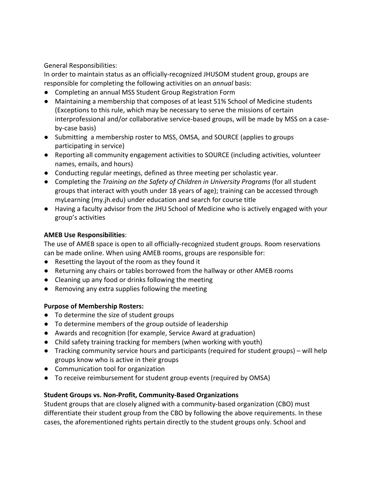General Responsibilities:

In order to maintain status as an officially-recognized JHUSOM student group, groups are responsible for completing the following activities on an *annual* basis:

- Completing an annual MSS Student Group Registration Form
- Maintaining a membership that composes of at least 51% School of Medicine students (Exceptions to this rule, which may be necessary to serve the missions of certain interprofessional and/or collaborative service‐based groups, will be made by MSS on a case‐ by‐case basis)
- Submitting a membership roster to MSS, OMSA, and SOURCE (applies to groups participating in service)
- Reporting all community engagement activities to SOURCE (including activities, volunteer names, emails, and hours)
- Conducting regular meetings, defined as three meeting per scholastic year.
- Completing the *Training on the Safety of Children in University Programs* (for all student groups that interact with youth under 18 years of age); training can be accessed through myLearning (my.jh.edu) under education and search for course title
- Having a faculty advisor from the JHU School of Medicine who is actively engaged with your group's activities

## **AMEB Use Responsibilities**:

The use of AMEB space is open to all officially‐recognized student groups. Room reservations can be made online. When using AMEB rooms, groups are responsible for:

- Resetting the layout of the room as they found it
- Returning any chairs or tables borrowed from the hallway or other AMEB rooms
- Cleaning up any food or drinks following the meeting
- Removing any extra supplies following the meeting

## **Purpose of Membership Rosters:**

- To determine the size of student groups
- To determine members of the group outside of leadership
- Awards and recognition (for example, Service Award at graduation)
- Child safety training tracking for members (when working with youth)
- Tracking community service hours and participants (required for student groups) will help groups know who is active in their groups
- Communication tool for organization
- To receive reimbursement for student group events (required by OMSA)

## **Student Groups vs. Non‐Profit, Community‐Based Organizations**

Student groups that are closely aligned with a community-based organization (CBO) must differentiate their student group from the CBO by following the above requirements. In these cases, the aforementioned rights pertain directly to the student groups only. School and